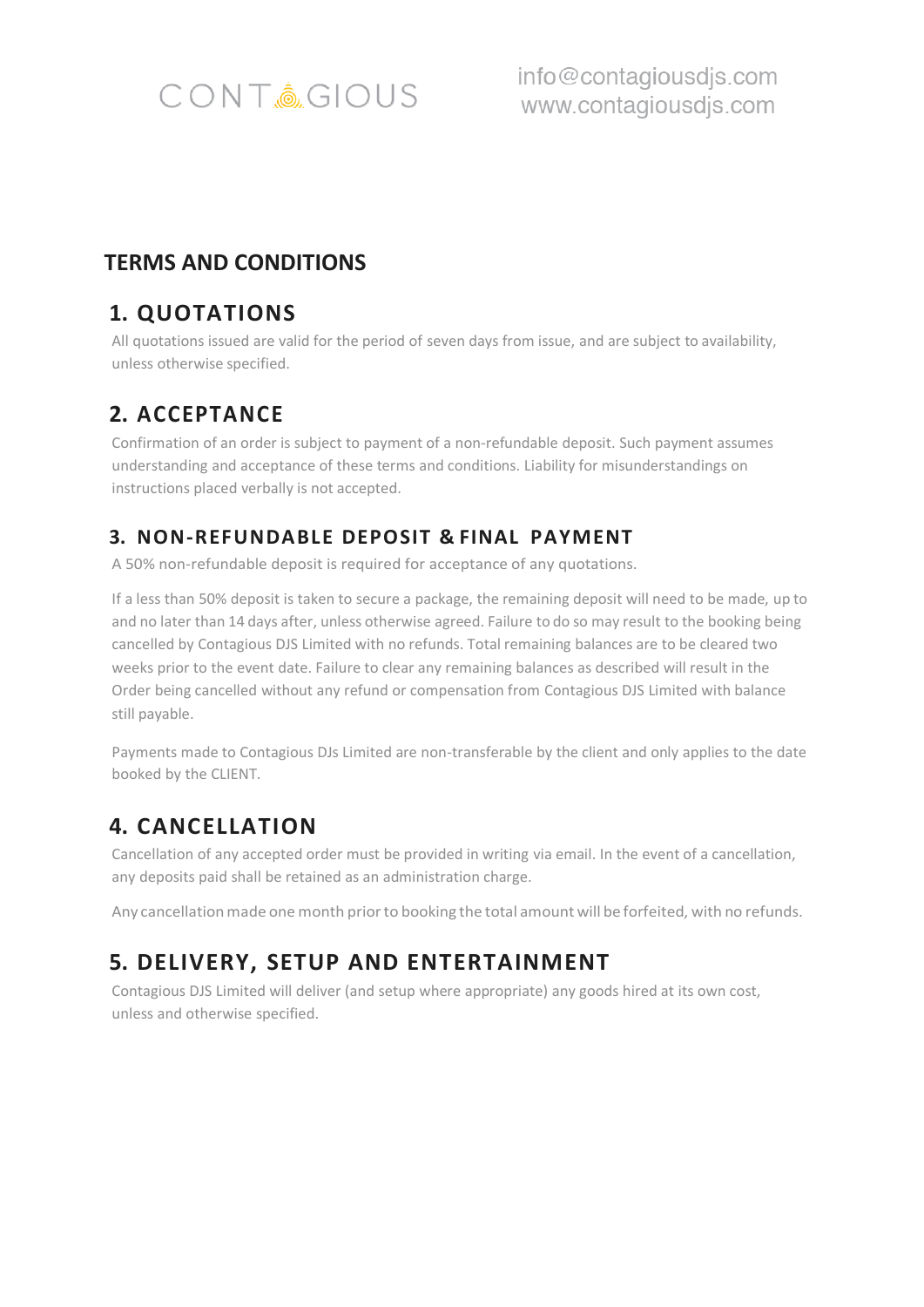

info@contagiousdjs.com www.contagiousdjs.com

#### **TERMS AND CONDITIONS**

### **1. QUOTATIONS**

All quotations issued are valid for the period of seven days from issue, and are subject to availability, unless otherwise specified.

### **2. ACCEPTANCE**

Confirmation of an order is subject to payment of a non-refundable deposit. Such payment assumes understanding and acceptance of these terms and conditions. Liability for misunderstandings on instructions placed verbally is not accepted.

#### **3. NON-REFUNDABLE DEPOSIT & FINAL PAYMENT**

A 50% non-refundable deposit is required for acceptance of any quotations.

If a less than 50% deposit is taken to secure a package, the remaining deposit will need to be made, up to and no later than 14 days after, unless otherwise agreed. Failure to do so may result to the booking being cancelled by Contagious DJS Limited with no refunds. Total remaining balances are to be cleared two weeks prior to the event date. Failure to clear any remaining balances as described will result in the Order being cancelled without any refund or compensation from Contagious DJS Limited with balance still payable.

Payments made to Contagious DJs Limited are non-transferable by the client and only applies to the date booked by the CLIENT.

# **4. CANCELLATION**

Cancellation of any accepted order must be provided in writing via email. In the event of a cancellation, any deposits paid shall be retained as an administration charge.

Any cancellation made one month prior to booking the total amount will be forfeited, with no refunds.

# **5. DELIVERY, SETUP AND ENTERTAINMENT**

Contagious DJS Limited will deliver (and setup where appropriate) any goods hired at its own cost, unless and otherwise specified.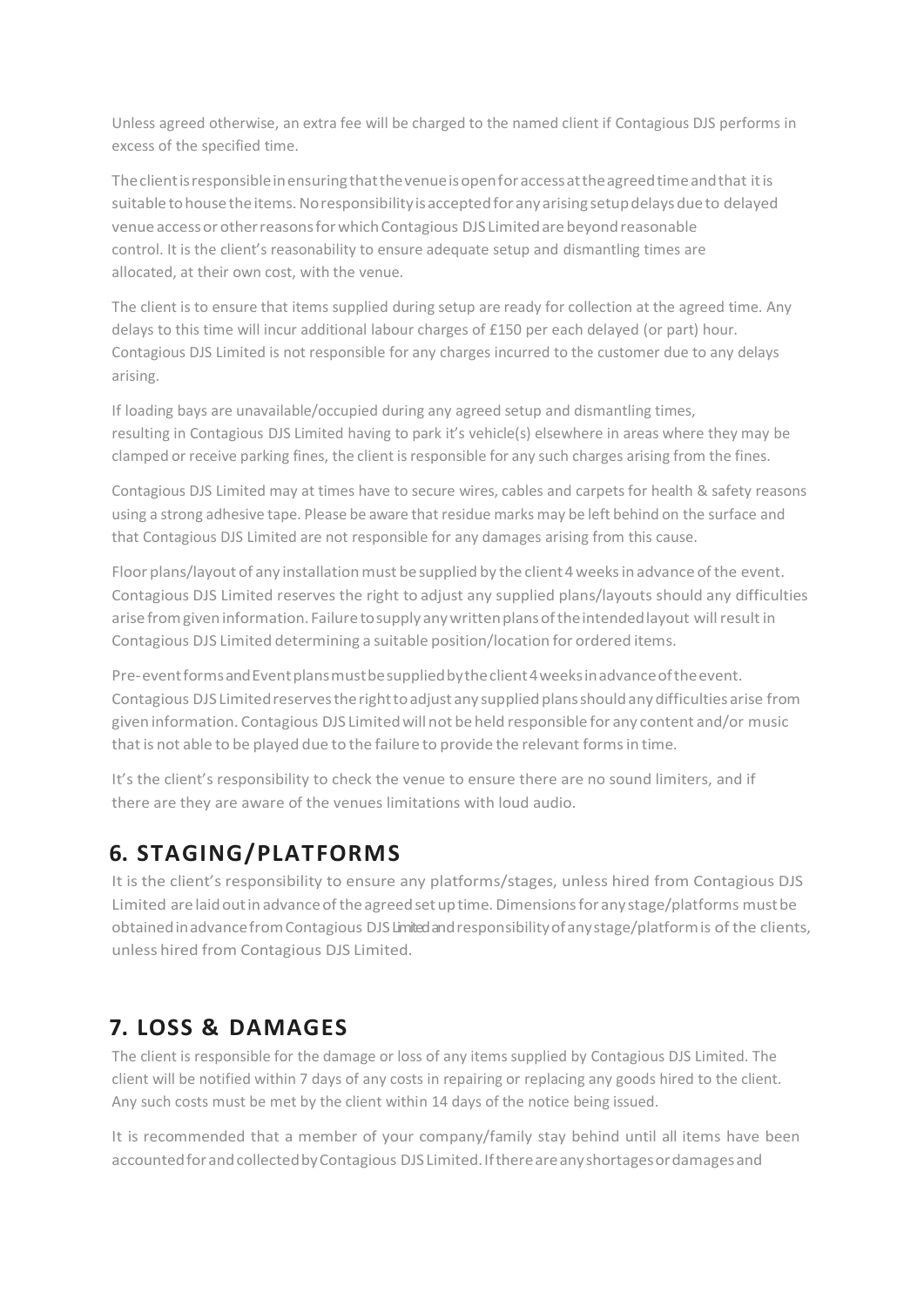Unless agreed otherwise, an extra fee will be charged to the named client if Contagious DJS performs in excess of the specified time.

Theclientisresponsibleinensuringthatthevenueisopenforaccessattheagreedtimeandthat itis suitable to house the items. No responsibility is accepted for any arising setup delays due to delayed venue access or other reasons for which Contagious DJS Limited are beyond reasonable control. It is the client's reasonability to ensure adequate setup and dismantling times are allocated, at their own cost, with the venue.

The client is to ensure that items supplied during setup are ready for collection at the agreed time. Any delays to this time will incur additional labour charges of £150 per each delayed (or part) hour. Contagious DJS Limited is not responsible for any charges incurred to the customer due to any delays arising.

If loading bays are unavailable/occupied during any agreed setup and dismantling times, resulting in Contagious DJS Limited having to park it's vehicle(s) elsewhere in areas where they may be clamped or receive parking fines, the client isresponsible for any such charges arising from the fines.

Contagious DJS Limited may at times have to secure wires, cables and carpets for health & safety reasons using a strong adhesive tape. Please be aware that residue marks may be left behind on the surface and that Contagious DJS Limited are not responsible for any damages arising from this cause.

Floor plans/layout of any installation must be supplied by the client 4 weeks in advance of the event. Contagious DJS Limited reserves the right to adjust any supplied plans/layouts should any difficulties arise from given information. Failure to supply any written plans of the intended layout will result in Contagious DJS Limited determining a suitable position/location for ordered items.

Pre-event forms and Event plans must be supplied by the client 4 weeks in advance of the event. Contagious DJS Limited reserves the right to adjust any supplied plans should any difficulties arise from given information. Contagious DJS Limitedwill not be held responsible for any content and/or music thatis not able to be played due to the failure to provide the relevant formsin time.

It's the client's responsibility to check the venue to ensure there are no sound limiters, and if there are they are aware of the venues limitations with loud audio.

# **6. STAGING/PLATFORMS**

It is the client's responsibility to ensure any platforms/stages, unless hired from Contagious DJS Limited are laid out in advance of the agreed set up time. Dimensions for any stage/platforms must be obtainedinadvancefromContagious DJSLimited andresponsibilityofanystage/platformis of the clients, unless hired from Contagious DJS Limited.

# **7. LOSS & DAMAGES**

The client is responsible for the damage or loss of any items supplied by Contagious DJS Limited. The client will be notified within 7 days of any costs in repairing or replacing any goods hired to the client. Any such costs must be met by the client within 14 days of the notice being issued.

It is recommended that a member of your company/family stay behind until all items have been accounted for and collected by Contagious DJS Limited. If there are any shortages or damages and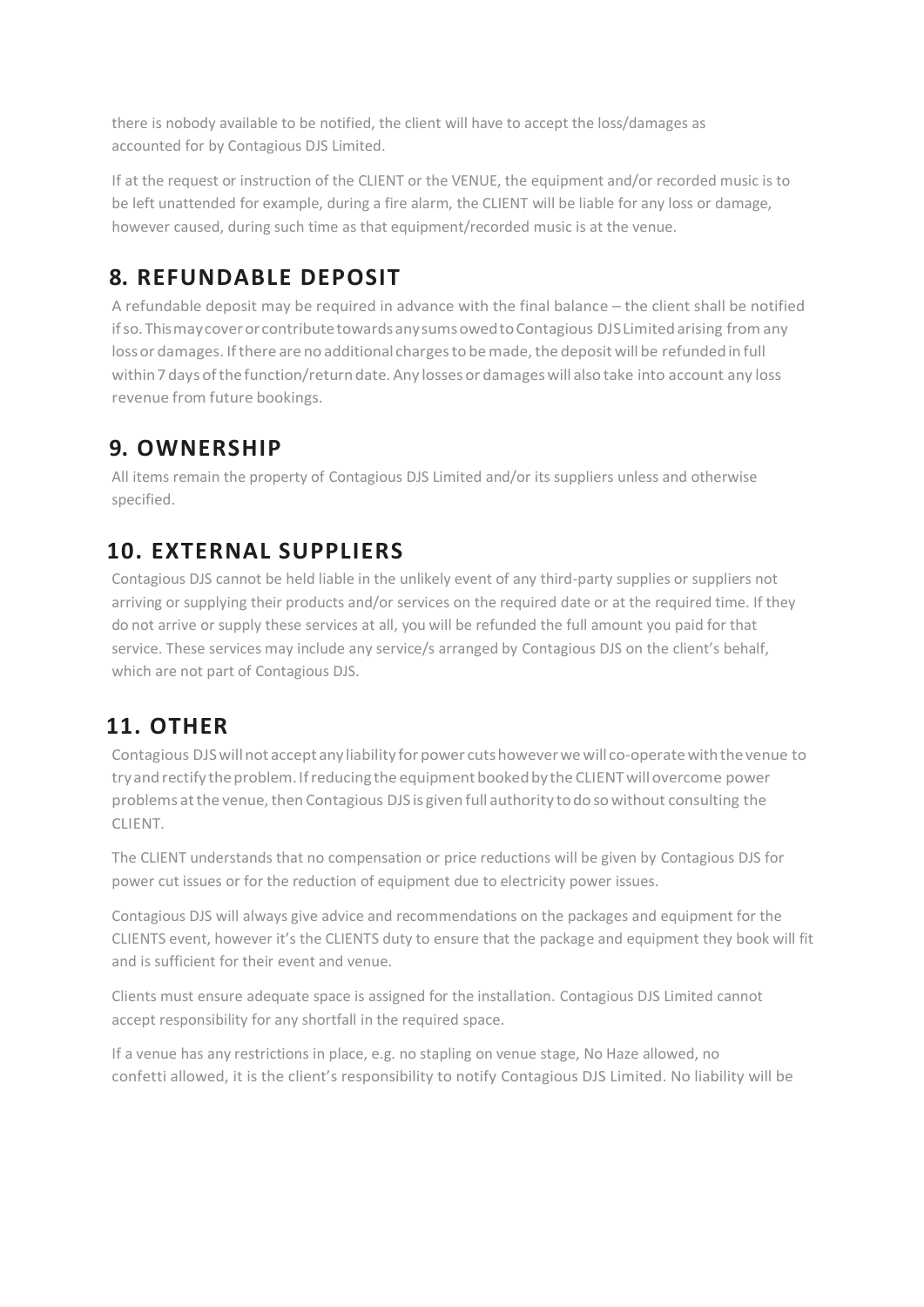there is nobody available to be notified, the client will have to accept the loss/damages as accounted for by Contagious DJS Limited.

If at the request or instruction of the CLIENT or the VENUE, the equipment and/or recorded music is to be left unattended for example, during a fire alarm, the CLIENT will be liable for any loss or damage, however caused, during such time as that equipment/recorded music is at the venue.

# **8. REFUNDABLE DEPOSIT**

A refundable deposit may be required in advance with the final balance – the client shall be notified if so. This may cover or contribute towards any sums owed to Contagious DJS Limited arising from any loss or damages. If there are no additional charges to be made, the deposit will be refunded in full within 7 days of the function/return date. Any losses or damages will also take into account any loss revenue from future bookings.

### **9. OWNERSHIP**

All items remain the property of Contagious DJS Limited and/or its suppliers unless and otherwise specified.

# **10. EXTERNAL SUPPLIERS**

Contagious DJS cannot be held liable in the unlikely event of any third-party supplies or suppliers not arriving or supplying their products and/or services on the required date or at the required time. If they do not arrive or supply these services at all, you will be refunded the full amount you paid for that service. These services may include any service/s arranged by Contagious DJS on the client's behalf, which are not part of Contagious DJS.

### **11. OTHER**

Contagious DJS will not accept any liability for power cuts however we will co-operate with the venue to try and rectify the problem. If reducing the equipment booked by the CLIENT will overcome power problems at the venue, then Contagious DJS is given full authority to do so without consulting the CLIENT.

The CLIENT understands that no compensation or price reductions will be given by Contagious DJS for power cut issues or for the reduction of equipment due to electricity power issues.

Contagious DJS will always give advice and recommendations on the packages and equipment for the CLIENTS event, however it's the CLIENTS duty to ensure that the package and equipment they book will fit and is sufficient for their event and venue.

Clients must ensure adequate space is assigned for the installation. Contagious DJS Limited cannot accept responsibility for any shortfall in the required space.

If a venue has any restrictions in place, e.g. no stapling on venue stage, No Haze allowed, no confetti allowed, it is the client's responsibility to notify Contagious DJS Limited. No liability will be